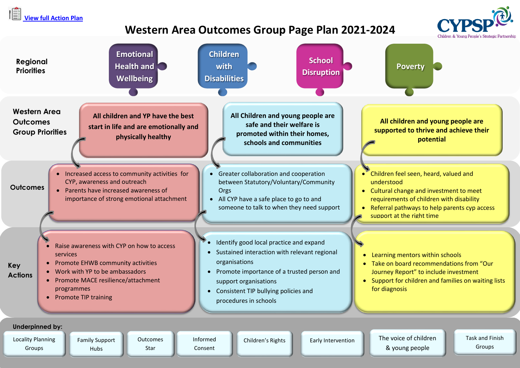```
View full Action Plan
```
Hubs

Groups

Star

## **Western Area Outcomes Group Page Plan 2021-2024**



Consent

Groups

& young people